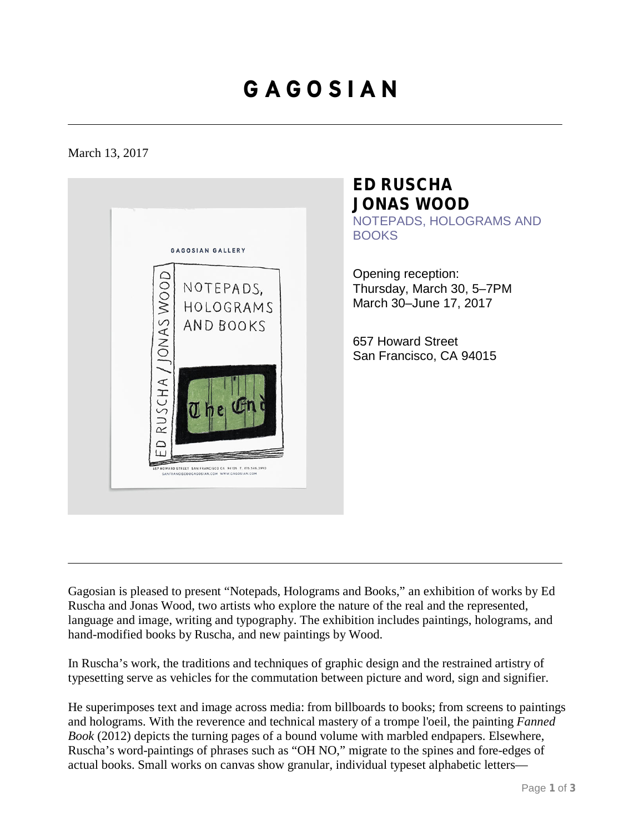# **G A G O S I A N**

### March 13, 2017



### **ED RUSCHA JONAS WOOD**

NOTEPADS, HOLOGRAMS AND **BOOKS** 

Opening reception: Thursday, March 30, 5–7PM March 30–June 17, 2017

657 Howard Street San Francisco, CA 94015

Gagosian is pleased to present "Notepads, Holograms and Books," an exhibition of works by Ed Ruscha and Jonas Wood, two artists who explore the nature of the real and the represented, language and image, writing and typography. The exhibition includes paintings, holograms, and hand-modified books by Ruscha, and new paintings by Wood.

In Ruscha's work, the traditions and techniques of graphic design and the restrained artistry of typesetting serve as vehicles for the commutation between picture and word, sign and signifier.

He superimposes text and image across media: from billboards to books; from screens to paintings and holograms. With the reverence and technical mastery of a trompe l'oeil, the painting *Fanned Book* (2012) depicts the turning pages of a bound volume with marbled endpapers. Elsewhere, Ruscha's word-paintings of phrases such as "OH NO," migrate to the spines and fore-edges of actual books. Small works on canvas show granular, individual typeset alphabetic letters—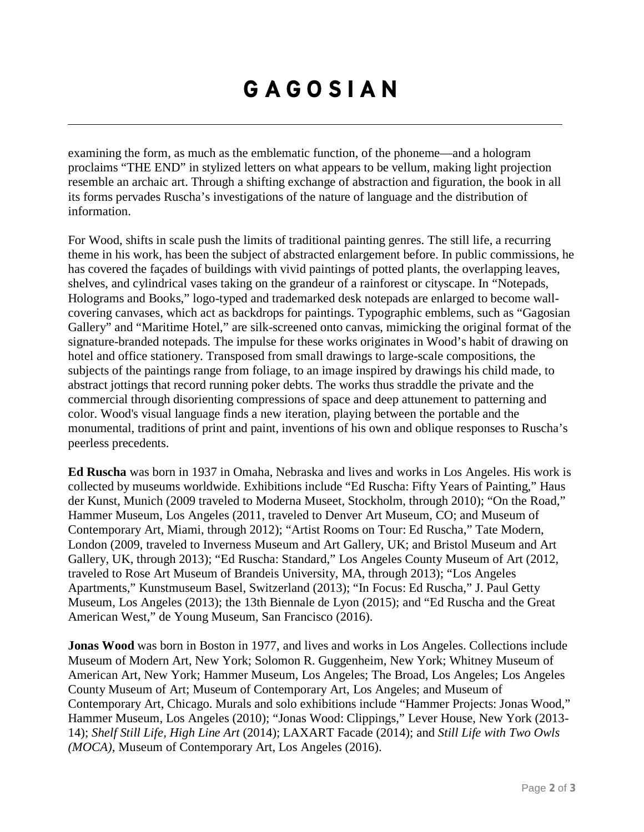# **G A G O S I A N**

examining the form, as much as the emblematic function, of the phoneme—and a hologram proclaims "THE END" in stylized letters on what appears to be vellum, making light projection resemble an archaic art. Through a shifting exchange of abstraction and figuration, the book in all its forms pervades Ruscha's investigations of the nature of language and the distribution of information.

For Wood, shifts in scale push the limits of traditional painting genres. The still life, a recurring theme in his work, has been the subject of abstracted enlargement before. In public commissions, he has covered the façades of buildings with vivid paintings of potted plants, the overlapping leaves, shelves, and cylindrical vases taking on the grandeur of a rainforest or cityscape. In "Notepads, Holograms and Books," logo-typed and trademarked desk notepads are enlarged to become wallcovering canvases, which act as backdrops for paintings. Typographic emblems, such as "Gagosian Gallery" and "Maritime Hotel," are silk-screened onto canvas, mimicking the original format of the signature-branded notepads. The impulse for these works originates in Wood's habit of drawing on hotel and office stationery. Transposed from small drawings to large-scale compositions, the subjects of the paintings range from foliage, to an image inspired by drawings his child made, to abstract jottings that record running poker debts. The works thus straddle the private and the commercial through disorienting compressions of space and deep attunement to patterning and color. Wood's visual language finds a new iteration, playing between the portable and the monumental, traditions of print and paint, inventions of his own and oblique responses to Ruscha's peerless precedents.

**Ed Ruscha** was born in 1937 in Omaha, Nebraska and lives and works in Los Angeles. His work is collected by museums worldwide. Exhibitions include "Ed Ruscha: Fifty Years of Painting," Haus der Kunst, Munich (2009 traveled to Moderna Museet, Stockholm, through 2010); "On the Road," Hammer Museum, Los Angeles (2011, traveled to Denver Art Museum, CO; and Museum of Contemporary Art, Miami, through 2012); "Artist Rooms on Tour: Ed Ruscha," Tate Modern, London (2009, traveled to Inverness Museum and Art Gallery, UK; and Bristol Museum and Art Gallery, UK, through 2013); "Ed Ruscha: Standard," Los Angeles County Museum of Art (2012, traveled to Rose Art Museum of Brandeis University, MA, through 2013); "Los Angeles Apartments," Kunstmuseum Basel, Switzerland (2013); "In Focus: Ed Ruscha," J. Paul Getty Museum, Los Angeles (2013); the 13th Biennale de Lyon (2015); and "Ed Ruscha and the Great American West," de Young Museum, San Francisco (2016).

**Jonas Wood** was born in Boston in 1977, and lives and works in Los Angeles. Collections include Museum of Modern Art, New York; Solomon R. Guggenheim, New York; Whitney Museum of American Art, New York; Hammer Museum, Los Angeles; The Broad, Los Angeles; Los Angeles County Museum of Art; Museum of Contemporary Art, Los Angeles; and Museum of Contemporary Art, Chicago. Murals and solo exhibitions include "Hammer Projects: Jonas Wood," Hammer Museum, Los Angeles (2010); "Jonas Wood: Clippings," Lever House, New York (2013- 14); *Shelf Still Life, High Line Art* (2014); LAXART Facade (2014); and *Still Life with Two Owls (MOCA)*, Museum of Contemporary Art, Los Angeles (2016).